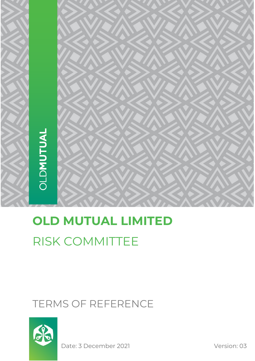

# **OLD MUTUAL LIMITED** RISK COMMITTEE

# TERMS OF REFERENCE



Date: 3 December 2021 Version: 03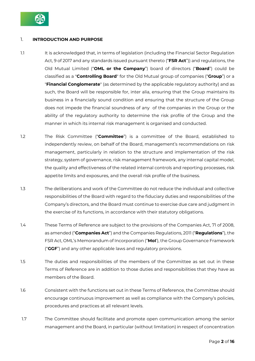

# 1. **INTRODUCTION AND PURPOSE**

- 1.1 It is acknowledged that, in terms of legislation (including the Financial Sector Regulation Act, 9 of 2017 and any standards issued pursuant thereto ("**FSR Act**")) and regulations, the Old Mutual Limited ("**OML or the Company**") board of directors ("**Board**") could be classified as a "**Controlling Board**" for the Old Mutual group of companies ("**Group**") or a "**Financial Conglomerate**" (as determined by the applicable regulatory authority) and as such, the Board will be responsible for, inter alia, ensuring that the Group maintains its business in a financially sound condition and ensuring that the structure of the Group does not impede the financial soundness of any of the companies in the Group or the ability of the regulatory authority to determine the risk profile of the Group and the manner in which its internal risk management is organised and conducted.
- 1.2 The Risk Committee ("**Committee**") is a committee of the Board, established to independently review, on behalf of the Board, management's recommendations on risk management, particularly in relation to the structure and implementation of the risk strategy, system of governance, risk management framework, any internal capital model, the quality and effectiveness of the related internal controls and reporting processes, risk appetite limits and exposures, and the overall risk profile of the business.
- 1.3 The deliberations and work of the Committee do not reduce the individual and collective responsibilities of the Board with regard to the fiduciary duties and responsibilities of the Company's directors, and the Board must continue to exercise due care and judgment in the exercise of its functions, in accordance with their statutory obligations.
- 1.4 These Terms of Reference are subject to the provisions of the Companies Act, 71 of 2008, as amended ("**Companies Act**") and the Companies Regulations, 2011 ("**Regulations**"), the FSR Act, OML's Memorandum of Incorporation ("**MoI**'), the Group Governance Framework ("**GGF**") and any other applicable laws and regulatory provisions.
- 1.5 The duties and responsibilities of the members of the Committee as set out in these Terms of Reference are in addition to those duties and responsibilities that they have as members of the Board.
- 1.6 Consistent with the functions set out in these Terms of Reference, the Committee should encourage continuous improvement as well as compliance with the Company's policies, procedures and practices at all relevant levels.
- 1.7 The Committee should facilitate and promote open communication among the senior management and the Board, in particular (without limitation) in respect of concentration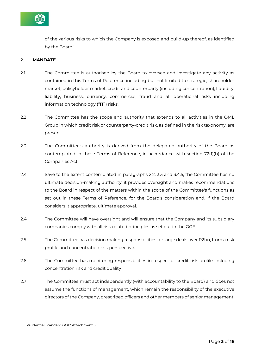

of the various risks to which the Company is exposed and build-up thereof, as identified by the Board.<sup>1</sup>

# 2. **MANDATE**

- 2.1 The Committee is authorised by the Board to oversee and investigate any activity as contained in this Terms of Reference including but not limited to strategic, shareholder market, policyholder market, credit and counterparty (including concentration), liquidity, liability, business, currency, commercial, fraud and all operational risks including information technology ("**IT**") risks.
- 2.2 The Committee has the scope and authority that extends to all activities in the OML Group in which credit risk or counterparty-credit risk, as defined in the risk taxonomy, are present.
- 2.3 The Committee's authority is derived from the delegated authority of the Board as contemplated in these Terms of Reference, in accordance with section 72(1)(b) of the Companies Act.
- 2.4 Save to the extent contemplated in paragraphs 2.2, 3.3 and 3.4.5, the Committee has no ultimate decision-making authority; it provides oversight and makes recommendations to the Board in respect of the matters within the scope of the Committee's functions as set out in these Terms of Reference, for the Board's consideration and, if the Board considers it appropriate, ultimate approval.
- 2.4 The Committee will have oversight and will ensure that the Company and its subsidiary companies comply with all risk related principles as set out in the GGF.
- 2.5 The Committee has decision making responsibilities for large deals over R2bn, from a risk profile and concentration risk perspective.
- 2.6 The Committee has monitoring responsibilities in respect of credit risk profile including concentration risk and credit quality
- 2.7 The Committee must act independently (with accountability to the Board) and does not assume the functions of management, which remain the responsibility of the executive directors of the Company, prescribed officers and other members of senior management.

<sup>1</sup> Prudential Standard GO12 Attachment 3.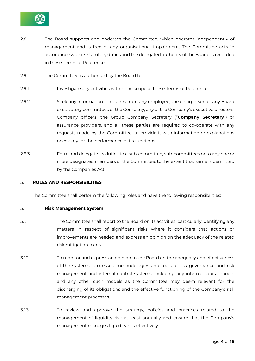

- 2.8 The Board supports and endorses the Committee, which operates independently of management and is free of any organisational impairment. The Committee acts in accordance with its statutory duties and the delegated authority of the Board as recorded in these Terms of Reference.
- 2.9 The Committee is authorised by the Board to:
- 2.9.1 Investigate any activities within the scope of these Terms of Reference.
- 2.9.2 Seek any information it requires from any employee, the chairperson of any Board or statutory committees of the Company, any of the Company's executive directors, Company officers, the Group Company Secretary ("**Company Secretary**") or assurance providers, and all these parties are required to co-operate with any requests made by the Committee, to provide it with information or explanations necessary for the performance of its functions.
- 2.9.3 Form and delegate its duties to a sub-committee, sub-committees or to any one or more designated members of the Committee, to the extent that same is permitted by the Companies Act.

#### 3. **ROLES AND RESPONSIBILITIES**

The Committee shall perform the following roles and have the following responsibilities:

#### 3.1 **Risk Management System**

- 3.1.1 The Committee shall report to the Board on its activities, particularly identifying any matters in respect of significant risks where it considers that actions or improvements are needed and express an opinion on the adequacy of the related risk mitigation plans.
- 3.1.2 To monitor and express an opinion to the Board on the adequacy and effectiveness of the systems, processes, methodologies and tools of risk governance and risk management and internal control systems, including any internal capital model and any other such models as the Committee may deem relevant for the discharging of its obligations and the effective functioning of the Company's risk management processes.
- 3.1.3 To review and approve the strategy, policies and practices related to the management of liquidity risk at least annually and ensure that the Company's management manages liquidity risk effectively.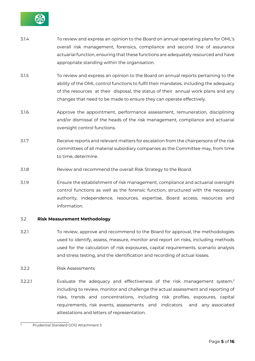

- 3.1.4 To review and express an opinion to the Board on annual operating plans for OML's overall risk management, forensics, compliance and second line of assurance actuarial function, ensuring that these functions are adequately resourced and have appropriate standing within the organisation.
- 3.1.5 To review and express an opinion to the Board on annual reports pertaining to the ability of the OML control functions to fulfil their mandates, including the adequacy of the resources at their disposal, the status of their annual work plans and any changes that need to be made to ensure they can operate effectively.
- 3.1.6 Approve the appointment, performance assessment, remuneration, disciplining and/or dismissal of the heads of the risk management, compliance and actuarial oversight control functions.
- 3.1.7 Receive reports and relevant matters for escalation from the chairpersons of the risk committees of all material subsidiary companies as the Committee may, from time to time, determine.
- 3.1.8 Review and recommend the overall Risk Strategy to the Board.
- 3.1.9 Ensure the establishment of risk management, compliance and actuarial oversight control functions as well as the forensic function, structured with the necessary authority, independence, resources, expertise, Board access, resources and information.

#### 3.2 **Risk Measurement Methodology**

- 3.2.1 To review, approve and recommend to the Board for approval, the methodologies used to identify, assess, measure, monitor and report on risks, including methods used for the calculation of risk exposures, capital requirements, scenario analysis and stress testing, and the identification and recording of actual losses.
- 3.2.2 Risk Assessments
- 3.2.2.1 Evaluate the adequacy and effectiveness of the risk management system,<sup>2</sup> including to review, monitor and challenge the actual assessment and reporting of risks, trends and concentrations, including risk profiles, exposures, capital requirements, risk events, assessments and indicators and any associated attestations and letters of representation.

<sup>2</sup> Prudential Standard GO12 Attachment 3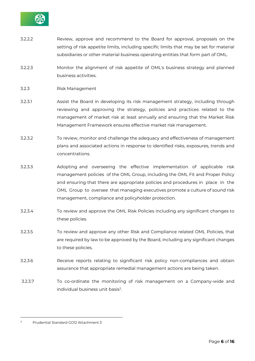

- 3.2.2.2 Review, approve and recommend to the Board for approval, proposals on the setting of risk appetite limits, including specific limits that may be set for material subsidiaries or other material business operating entities that form part of OML.
- 3.2.2.3 Monitor the alignment of risk appetite of OML's business strategy and planned business activities.
- 3.2.3 Risk Management
- 3.2.3.1 Assist the Board in developing its risk management strategy, including through reviewing and approving the strategy, policies and practices related to the management of market risk at least annually and ensuring that the Market Risk Management Framework ensures effective market risk management.
- 3.2.3.2 To review, monitor and challenge the adequacy and effectiveness of management plans and associated actions in response to identified risks, exposures, trends and concentrations.
- 3.2.3.3 Adopting and overseeing the effective implementation of applicable risk management policies of the OML Group, including the OML Fit and Proper Policy and ensuring that there are appropriate policies and procedures in place in the OML Group to oversee that managing executives promote a culture of sound risk management, compliance and policyholder protection.
- 3.2.3.4 To review and approve the OML Risk Policies including any significant changes to these policies.
- 3.2.3.5 To review and approve any other Risk and Compliance related OML Policies, that are required by law to be approved by the Board, including any significant changes to these policies.
- 3.2.3.6 Receive reports relating to significant risk policy non-compliances and obtain assurance that appropriate remedial management actions are being taken.
- 3.2.3.7 To co-ordinate the monitoring of risk management on a Company-wide and individual business unit basis $3$ .

<sup>3</sup> Prudential Standard GO12 Attachment 3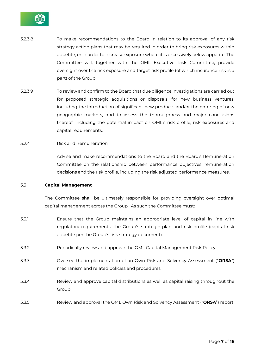

- 3.2.3.8 To make recommendations to the Board in relation to its approval of any risk strategy action plans that may be required in order to bring risk exposures within appetite, or in order to increase exposure where it is excessively below appetite. The Committee will, together with the OML Executive Risk Committee, provide oversight over the risk exposure and target risk profile (of which insurance risk is a part) of the Group.
- 3.2.3.9 To review and confirm to the Board that due diligence investigations are carried out for proposed strategic acquisitions or disposals, for new business ventures, including the introduction of significant new products and/or the entering of new geographic markets, and to assess the thoroughness and major conclusions thereof, including the potential impact on OML's risk profile, risk exposures and capital requirements.
- 3.2.4 Risk and Remuneration

Advise and make recommendations to the Board and the Board's Remuneration Committee on the relationship between performance objectives, remuneration decisions and the risk profile, including the risk adjusted performance measures.

#### 3.3 **Capital Management**

The Committee shall be ultimately responsible for providing oversight over optimal capital management across the Group. As such the Committee must:

- 3.3.1 Ensure that the Group maintains an appropriate level of capital in line with regulatory requirements, the Group's strategic plan and risk profile (capital risk appetite per the Group's risk strategy document).
- 3.3.2 Periodically review and approve the OML Capital Management Risk Policy.
- 3.3.3 Oversee the implementation of an Own Risk and Solvency Assessment ("**ORSA**") mechanism and related policies and procedures.
- 3.3.4 Review and approve capital distributions as well as capital raising throughout the Group.
- 3.3.5 Review and approval the OML Own Risk and Solvency Assessment ("**ORSA**") report.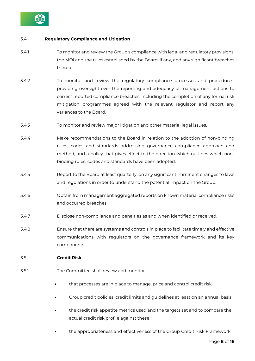

# 3.4 **Regulatory Compliance and Litigation**

- 3.4.1 To monitor and review the Group's compliance with legal and regulatory provisions, the MOI and the rules established by the Board, if any, and any significant breaches thereof.
- 3.4.2 To monitor and review the regulatory compliance processes and procedures, providing oversight over the reporting and adequacy of management actions to correct reported compliance breaches, including the completion of any formal risk mitigation programmes agreed with the relevant regulator and report any variances to the Board.
- 3.4.3 To monitor and review major litigation and other material legal issues.
- 3.4.4 Make recommendations to the Board in relation to the adoption of non-binding rules, codes and standards addressing governance compliance approach and method, and a policy that gives effect to the direction which outlines which nonbinding rules, codes and standards have been adopted.
- 3.4.5 Report to the Board at least quarterly, on any significant imminent changes to laws and regulations in order to understand the potential impact on the Group.
- 3.4.6 Obtain from management aggregated reports on known material compliance risks and occurred breaches.
- 3.4.7 Disclose non-compliance and penalties as and when identified or received.
- 3.4.8 Ensure that there are systems and controls in place to facilitate timely and effective communications with regulators on the governance framework and its key components.
- 3.5 **Credit Risk**
- 3.5.1 The Committee shall review and monitor:
	- that processes are in place to manage, price and control credit risk
	- Group credit policies, credit limits and guidelines at least on an annual basis
	- the credit risk appetite metrics used and the targets set and to compare the actual credit risk profile against these
	- the appropriateness and effectiveness of the Group Credit Risk Framework,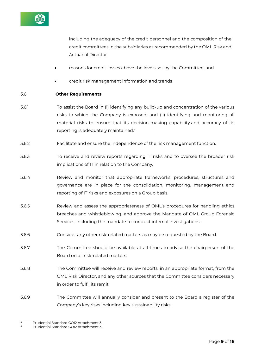

including the adequacy of the credit personnel and the composition of the credit committees in the subsidiaries as recommended by the OML Risk and Actuarial Director

- reasons for credit losses above the levels set by the Committee, and
- credit risk management information and trends

#### 3.6 **Other Requirements**

- 3.6.1 To assist the Board in (i) identifying any build-up and concentration of the various risks to which the Company is exposed; and (ii) identifying and monitoring all material risks to ensure that its decision-making capability and accuracy of its reporting is adequately maintained.<sup>4</sup>
- 3.6.2 Facilitate and ensure the independence of the risk management function.
- 3.6.3 To receive and review reports regarding IT risks and to oversee the broader risk implications of IT in relation to the Company.
- 3.6.4 Review and monitor that appropriate frameworks, procedures, structures and governance are in place for the consolidation, monitoring, management and reporting of IT risks and exposures on a Group basis.
- 3.6.5 Review and assess the appropriateness of OML's procedures for handling ethics breaches and whistleblowing, and approve the Mandate of OML Group Forensic Services, including the mandate to conduct internal investigations.
- 3.6.6 Consider any other risk-related matters as may be requested by the Board.
- 3.6.7 The Committee should be available at all times to advise the chairperson of the Board on all risk-related matters.
- 3.6.8 The Committee will receive and review reports, in an appropriate format, from the OML Risk Director, and any other sources that the Committee considers necessary in order to fulfil its remit.
- 3.6.9 The Committee will annually consider and present to the Board a register of the Company's key risks including key sustainability risks.

<sup>4</sup> Prudential Standard GOI2 Attachment 3.

<sup>5</sup> Prudential Standard GOI2 Attachment 3.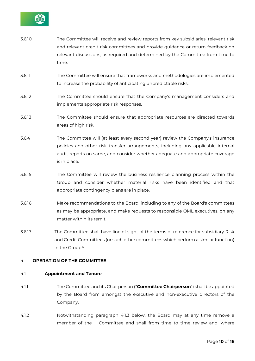

| 3.6.10 | The Committee will receive and review reports from key subsidiaries' relevant risk                                                              |
|--------|-------------------------------------------------------------------------------------------------------------------------------------------------|
|        | and relevant credit risk committees and provide guidance or return feedback on                                                                  |
|        | relevant discussions, as required and determined by the Committee from time to                                                                  |
|        | time.                                                                                                                                           |
| 3.6.11 | The Committee will ensure that frameworks and methodologies are implemented<br>to increase the probability of anticipating unpredictable risks. |

- 3.6.12 The Committee should ensure that the Company's management considers and implements appropriate risk responses.
- 3.6.13 The Committee should ensure that appropriate resources are directed towards areas of high risk.
- 3.6.4 The Committee will (at least every second year) review the Company's insurance policies and other risk transfer arrangements, including any applicable internal audit reports on same, and consider whether adequate and appropriate coverage is in place.
- 3.6.15 The Committee will review the business resilience planning process within the Group and consider whether material risks have been identified and that appropriate contingency plans are in place.
- 3.6.16 Make recommendations to the Board, including to any of the Board's committees as may be appropriate, and make requests to responsible OML executives, on any matter within its remit.
- 3.6.17 The Committee shall have line of sight of the terms of reference for subsidiary Risk and Credit Committees (or such other committees which perform a similar function) in the Group.<sup>5</sup>

# 4. **OPERATION OF THE COMMITTEE**

#### 4.1 **Appointment and Tenure**

- 4.1.1 The Committee and its Chairperson ("**Committee Chairperson**") shall be appointed by the Board from amongst the executive and non-executive directors of the Company.
- 4.1.2 Notwithstanding paragraph 4.1.3 below, the Board may at any time remove a member of the Committee and shall from time to time review and, where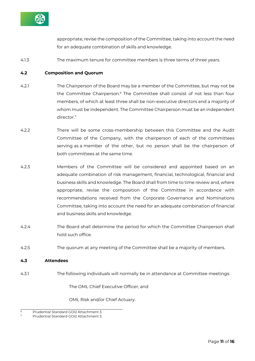

appropriate, revise the composition of the Committee, taking into account the need for an adequate combination of skills and knowledge.

4.1.3 The maximum tenure for committee members is three terms of three years.

#### **4.2 Composition and Quorum**

- 4.2.1 The Chairperson of the Board may be a member of the Committee, but may not be the Committee Chairperson.<sup>6</sup> The Committee shall consist of not less than four members, of which at least three shall be non-executive directors and a majority of whom must be independent. The Committee Chairperson must be an independent director.<sup>7</sup>
- 4.2.2 There will be some cross-membership between this Committee and the Audit Committee of the Company, with the chairperson of each of the committees serving as a member of the other, but no person shall be the chairperson of both committees at the same time.
- 4.2.3 Members of the Committee will be considered and appointed based on an adequate combination of risk management, financial, technological, financial and business skills and knowledge. The Board shall from time to time review and, where appropriate, revise the composition of the Committee in accordance with recommendations received from the Corporate Governance and Nominations Committee, taking into account the need for an adequate combination of financial and business skills and knowledge.
- 4.2.4 The Board shall determine the period for which the Committee Chairperson shall hold such office.
- 4.2.5 The quorum at any meeting of the Committee shall be a majority of members.

#### **4.3 Attendees**

4.3.1 The following individuals will normally be in attendance at Committee meetings:

The OML Chief Executive Officer; and

OML Risk and/or Chief Actuary.

<sup>6</sup> Prudential Standard GOI2 Attachment 3.

<sup>7</sup> Prudential Standard GOI2 Attachment 3.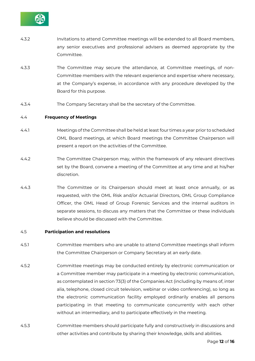

- 4.3.2 Invitations to attend Committee meetings will be extended to all Board members, any senior executives and professional advisers as deemed appropriate by the Committee.
- 4.3.3 The Committee may secure the attendance, at Committee meetings, of non-Committee members with the relevant experience and expertise where necessary, at the Company's expense, in accordance with any procedure developed by the Board for this purpose.
- 4.3.4 The Company Secretary shall be the secretary of the Committee.

#### 4.4 **Frequency of Meetings**

- 4.4.1 Meetings of the Committee shall be held at least four times a year prior to scheduled OML Board meetings, at which Board meetings the Committee Chairperson will present a report on the activities of the Committee.
- 4.4.2 The Committee Chairperson may, within the framework of any relevant directives set by the Board, convene a meeting of the Committee at any time and at his/her discretion.
- 4.4.3 The Committee or its Chairperson should meet at least once annually, or as requested, with the OML Risk and/or Actuarial Directors, OML Group Compliance Officer, the OML Head of Group Forensic Services and the internal auditors in separate sessions, to discuss any matters that the Committee or these individuals believe should be discussed with the Committee.

#### 4.5 **Participation and resolutions**

- 4.5.1 Committee members who are unable to attend Committee meetings shall inform the Committee Chairperson or Company Secretary at an early date.
- 4.5.2 Committee meetings may be conducted entirely by electronic communication or a Committee member may participate in a meeting by electronic communication, as contemplated in section 73(3) of the Companies Act (including by means of, inter alia, telephone, closed circuit television, webinar or video conferencing), so long as the electronic communication facility employed ordinarily enables all persons participating in that meeting to communicate concurrently with each other without an intermediary, and to participate effectively in the meeting.
- 4.5.3 Committee members should participate fully and constructively in discussions and other activities and contribute by sharing their knowledge, skills and abilities.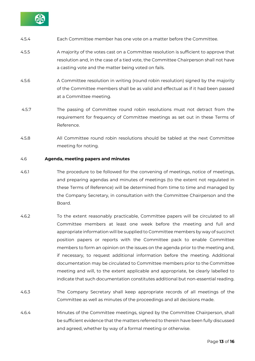

- 4.5.4 Each Committee member has one vote on a matter before the Committee.
- 4.5.5 A majority of the votes cast on a Committee resolution is sufficient to approve that resolution and, in the case of a tied vote, the Committee Chairperson shall not have a casting vote and the matter being voted on fails.
- 4.5.6 A Committee resolution in writing (round robin resolution) signed by the majority of the Committee members shall be as valid and effectual as if it had been passed at a Committee meeting.
- 4.5.7 The passing of Committee round robin resolutions must not detract from the requirement for frequency of Committee meetings as set out in these Terms of Reference.
- 4.5.8 All Committee round robin resolutions should be tabled at the next Committee meeting for noting.

#### 4.6 **Agenda, meeting papers and minutes**

- 4.6.1 The procedure to be followed for the convening of meetings, notice of meetings, and preparing agendas and minutes of meetings (to the extent not regulated in these Terms of Reference) will be determined from time to time and managed by the Company Secretary, in consultation with the Committee Chairperson and the Board.
- 4.6.2 To the extent reasonably practicable, Committee papers will be circulated to all Committee members at least one week before the meeting and full and appropriate information will be supplied to Committee members by way of succinct position papers or reports with the Committee pack to enable Committee members to form an opinion on the issues on the agenda prior to the meeting and, if necessary, to request additional information before the meeting. Additional documentation may be circulated to Committee members prior to the Committee meeting and will, to the extent applicable and appropriate, be clearly labelled to indicate that such documentation constitutes additional but non-essential reading.
- 4.6.3 The Company Secretary shall keep appropriate records of all meetings of the Committee as well as minutes of the proceedings and all decisions made.
- 4.6.4 Minutes of the Committee meetings, signed by the Committee Chairperson, shall be sufficient evidence that the matters referred to therein have been fully discussed and agreed, whether by way of a formal meeting or otherwise.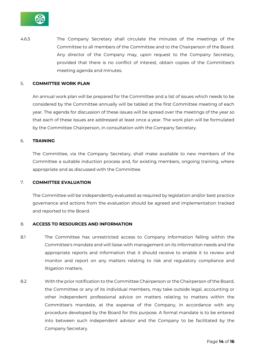

4.6.5 The Company Secretary shall circulate the minutes of the meetings of the Committee to all members of the Committee and to the Chairperson of the Board. Any director of the Company may, upon request to the Company Secretary, provided that there is no conflict of interest, obtain copies of the Committee's meeting agenda and minutes.

#### 5. **COMMITTEE WORK PLAN**

An annual work plan will be prepared for the Committee and a list of issues which needs to be considered by the Committee annually will be tabled at the first Committee meeting of each year. The agenda for discussion of these issues will be spread over the meetings of the year so that each of these issues are addressed at least once a year. The work plan will be formulated by the Committee Chairperson, in consultation with the Company Secretary.

#### 6. **TRAINING**

The Committee, via the Company Secretary, shall make available to new members of the Committee a suitable induction process and, for existing members, ongoing training, where appropriate and as discussed with the Committee.

#### 7. **COMMITTEE EVALUATION**

The Committee will be independently evaluated as required by legislation and/or best practice governance and actions from the evaluation should be agreed and implementation tracked and reported to the Board.

#### 8. **ACCESS TO RESOURCES AND INFORMATION**

- 8.1 The Committee has unrestricted access to Company information falling within the Committee's mandate and will liaise with management on its information needs and the appropriate reports and information that it should receive to enable it to review and monitor and report on any matters relating to risk and regulatory compliance and litigation matters.
- 8.2 With the prior notification to the Committee Chairperson or the Chairperson of the Board, the Committee or any of its individual members, may take outside legal, accounting or other independent professional advice on matters relating to matters within the Committee's mandate, at the expense of the Company, in accordance with any procedure developed by the Board for this purpose. A formal mandate is to be entered into between such independent advisor and the Company to be facilitated by the Company Secretary.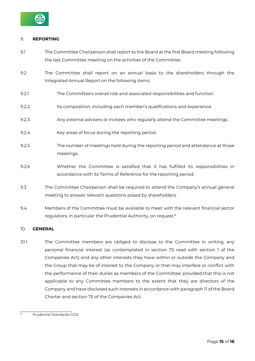

# 9. **REPORTING**

- 9.1 The Committee Chairperson shall report to the Board at the first Board meeting following the last Committee meeting on the activities of the Committee.
- 9.2 The Committee shall report on an annual basis to the shareholders through the Integrated Annual Report on the following items:
- 9.2.1 The Committee's overall role and associated responsibilities and function.
- 9.2.2 Its composition, including each member's qualifications and experience.
- 9.2.3 Any external advisers or invitees who regularly attend the Committee meetings.
- 9.2.4 Key areas of focus during the reporting period.
- 9.2.5 The number of meetings held during the reporting period and attendance at those meetings.
- 9.2.6 Whether the Committee is satisfied that it has fulfilled its responsibilities in accordance with its Terms of Reference for the reporting period.
- 9.3 The Committee Chairperson shall be required to attend the Company's annual general meeting to answer relevant questions posed by shareholders.
- 9.4 Members of the Committee must be available to meet with the relevant financial sector regulators, in particular the Prudential Authority, on request.<sup>8</sup>

# 10. **GENERAL**

10.1 The Committee members are obliged to disclose to the Committee in writing, any personal financial interest (as contemplated in section 75 read with section 1 of the Companies Act) and any other interests they have within or outside the Company and the Group that may be of interest to the Company or that may interfere or conflict with the performance of their duties as members of the Committee; provided that this is not applicable to any Committee members to the extent that they are directors of the Company and have disclosed such interests in accordance with paragraph 11 of the Board Charter and section 75 of the Companies Act.

<sup>8</sup> Prudential Standards GOI2.